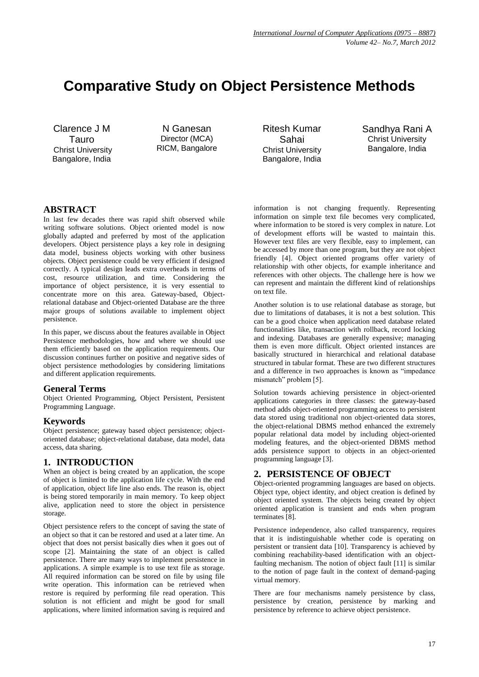# **Comparative Study on Object Persistence Methods**

Clarence J M Tauro Christ University Bangalore, India

N Ganesan Director (MCA) RICM, Bangalore Ritesh Kumar Sahai Christ University Bangalore, India Sandhya Rani A Christ University Bangalore, India

# **ABSTRACT**

In last few decades there was rapid shift observed while writing software solutions. Object oriented model is now globally adapted and preferred by most of the application developers. Object persistence plays a key role in designing data model, business objects working with other business objects. Object persistence could be very efficient if designed correctly. A typical design leads extra overheads in terms of cost, resource utilization, and time. Considering the importance of object persistence, it is very essential to concentrate more on this area. Gateway-based, Objectrelational database and Object-oriented Database are the three major groups of solutions available to implement object persistence.

In this paper, we discuss about the features available in Object Persistence methodologies, how and where we should use them efficiently based on the application requirements. Our discussion continues further on positive and negative sides of object persistence methodologies by considering limitations and different application requirements.

# **General Terms**

Object Oriented Programming, Object Persistent, Persistent Programming Language.

# **Keywords**

Object persistence; gateway based object persistence; objectoriented database; object-relational database, data model, data access, data sharing.

# **1. INTRODUCTION**

When an object is being created by an application, the scope of object is limited to the application life cycle. With the end of application, object life line also ends. The reason is, object is being stored temporarily in main memory. To keep object alive, application need to store the object in persistence storage.

Object persistence refers to the concept of saving the state of an object so that it can be restored and used at a later time. An object that does not persist basically dies when it goes out of scope [2]. Maintaining the state of an object is called persistence. There are many ways to implement persistence in applications. A simple example is to use text file as storage. All required information can be stored on file by using file write operation. This information can be retrieved when restore is required by performing file read operation. This solution is not efficient and might be good for small applications, where limited information saving is required and

information is not changing frequently. Representing information on simple text file becomes very complicated, where information to be stored is very complex in nature. Lot of development efforts will be wasted to maintain this. However text files are very flexible, easy to implement, can be accessed by more than one program, but they are not object friendly [4]. Object oriented programs offer variety of relationship with other objects, for example inheritance and references with other objects. The challenge here is how we can represent and maintain the different kind of relationships on text file.

Another solution is to use relational database as storage, but due to limitations of databases, it is not a best solution. This can be a good choice when application need database related functionalities like, transaction with rollback, record locking and indexing. Databases are generally expensive; managing them is even more difficult. Object oriented instances are basically structured in hierarchical and relational database structured in tabular format. These are two different structures and a difference in two approaches is known as "impedance mismatch" problem [5].

Solution towards achieving persistence in object-oriented applications categories in three classes: the gateway-based method adds object-oriented programming access to persistent data stored using traditional non object-oriented data stores, the object-relational DBMS method enhanced the extremely popular relational data model by including object-oriented modeling features, and the object-oriented DBMS method adds persistence support to objects in an object-oriented programming language [3].

# **2. PERSISTENCE OF OBJECT**

Object-oriented programming languages are based on objects. Object type, object identity, and object creation is defined by object oriented system. The objects being created by object oriented application is transient and ends when program terminates [8].

Persistence independence, also called transparency, requires that it is indistinguishable whether code is operating on persistent or transient data [10]. Transparency is achieved by combining reachability-based identification with an objectfaulting mechanism. The notion of object fault [11] is similar to the notion of page fault in the context of demand-paging virtual memory.

There are four mechanisms namely persistence by class, persistence by creation, persistence by marking and persistence by reference to achieve object persistence.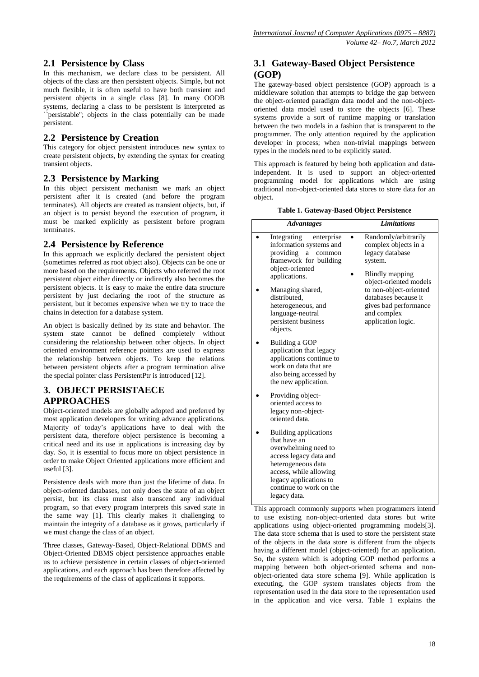# **2.1 Persistence by Class**

In this mechanism, we declare class to be persistent. All objects of the class are then persistent objects. Simple, but not much flexible, it is often useful to have both transient and persistent objects in a single class [8]. In many OODB systems, declaring a class to be persistent is interpreted as `persistable"; objects in the class potentially can be made persistent.

# **2.2 Persistence by Creation**

This category for object persistent introduces new syntax to create persistent objects, by extending the syntax for creating transient objects.

## **2.3 Persistence by Marking**

In this object persistent mechanism we mark an object persistent after it is created (and before the program terminates). All objects are created as transient objects, but, if an object is to persist beyond the execution of program, it must be marked explicitly as persistent before program terminates.

## **2.4 Persistence by Reference**

In this approach we explicitly declared the persistent object (sometimes referred as root object also). Objects can be one or more based on the requirements. Objects who referred the root persistent object either directly or indirectly also becomes the persistent objects. It is easy to make the entire data structure persistent by just declaring the root of the structure as persistent, but it becomes expensive when we try to trace the chains in detection for a database system.

An object is basically defined by its state and behavior. The system state cannot be defined completely without considering the relationship between other objects. In object oriented environment reference pointers are used to express the relationship between objects. To keep the relations between persistent objects after a program termination alive the special pointer class PersistentPtr is introduced [12].

# **3. OBJECT PERSISTAECE APPROACHES**

Object-oriented models are globally adopted and preferred by most application developers for writing advance applications. Majority of today's applications have to deal with the persistent data, therefore object persistence is becoming a critical need and its use in applications is increasing day by day. So, it is essential to focus more on object persistence in order to make Object Oriented applications more efficient and useful [3].

Persistence deals with more than just the lifetime of data. In object-oriented databases, not only does the state of an object persist, but its class must also transcend any individual program, so that every program interprets this saved state in the same way [1]. This clearly makes it challenging to maintain the integrity of a database as it grows, particularly if we must change the class of an object.

Three classes, Gateway-Based, Object-Relational DBMS and Object-Oriented DBMS object persistence approaches enable us to achieve persistence in certain classes of object-oriented applications, and each approach has been therefore affected by the requirements of the class of applications it supports.

# **3.1 Gateway-Based Object Persistence (GOP)**

The gateway-based object persistence (GOP) approach is a middleware solution that attempts to bridge the gap between the object-oriented paradigm data model and the non-objectoriented data model used to store the objects [6]. These systems provide a sort of runtime mapping or translation between the two models in a fashion that is transparent to the programmer. The only attention required by the application developer in process; when non-trivial mappings between types in the models need to be explicitly stated.

This approach is featured by being both application and dataindependent. It is used to support an object-oriented programming model for applications which are using traditional non-object-oriented data stores to store data for an object.

#### **Table 1. Gateway-Based Object Persistence**

| <b>Advantages</b>                                                                                                                                                                                            | <b>Limitations</b>                                                                                                      |
|--------------------------------------------------------------------------------------------------------------------------------------------------------------------------------------------------------------|-------------------------------------------------------------------------------------------------------------------------|
| Integrating<br>enterprise<br>information systems and<br>providing<br>common<br>$\mathbf a$<br>framework for building<br>object-oriented<br>applications.                                                     | Randomly/arbitrarily<br>complex objects in a<br>legacy database<br>system.<br>Blindly mapping<br>object-oriented models |
| Managing shared,<br>distributed,<br>heterogeneous, and<br>language-neutral<br>persistent business<br>objects.                                                                                                | to non-object-oriented<br>databases because it<br>gives bad performance<br>and complex<br>application logic.            |
| Building a GOP<br>application that legacy<br>applications continue to<br>work on data that are<br>also being accessed by<br>the new application.                                                             |                                                                                                                         |
| Providing object-<br>oriented access to<br>legacy non-object-<br>oriented data.                                                                                                                              |                                                                                                                         |
| Building applications<br>that have an<br>overwhelming need to<br>access legacy data and<br>heterogeneous data<br>access, while allowing<br>legacy applications to<br>continue to work on the<br>legacy data. |                                                                                                                         |

This approach commonly supports when programmers intend to use existing non-object-oriented data stores but write applications using object-oriented programming models[3]. The data store schema that is used to store the persistent state of the objects in the data store is different from the objects having a different model (object-oriented) for an application. So, the system which is adopting GOP method performs a mapping between both object-oriented schema and nonobject-oriented data store schema [9]. While application is executing, the GOP system translates objects from the representation used in the data store to the representation used in the application and vice versa. Table 1 explains the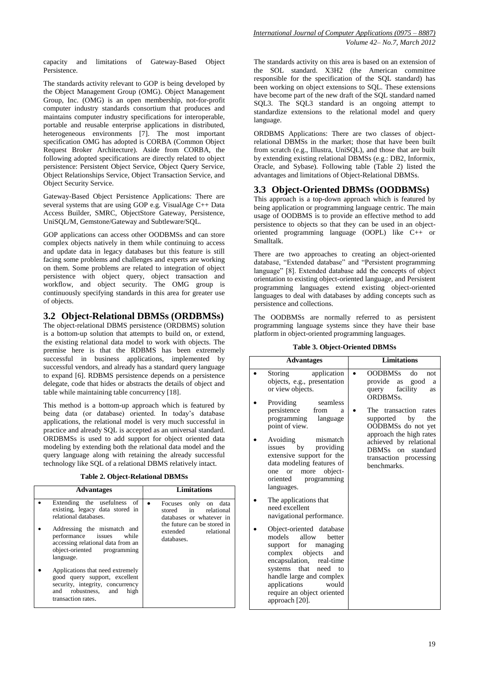capacity and limitations of Gateway-Based Object Persistence.

The standards activity relevant to GOP is being developed by the Object Management Group (OMG). Object Management Group, Inc. (OMG) is an open membership, not-for-profit computer industry standards consortium that produces and maintains computer industry specifications for interoperable, portable and reusable enterprise applications in distributed, heterogeneous environments [7]. The most important specification OMG has adopted is CORBA (Common Object Request Broker Architecture). Aside from CORBA, the following adopted specifications are directly related to object persistence: Persistent Object Service, Object Query Service, Object Relationships Service, Object Transaction Service, and Object Security Service.

Gateway-Based Object Persistence Applications: There are several systems that are using GOP e.g. VisualAge C++ Data Access Builder, SMRC, ObjectStore Gateway, Persistence, UniSQL/M, Gemstone/Gateway and Subtleware/SQL.

GOP applications can access other OODBMSs and can store complex objects natively in them while continuing to access and update data in legacy databases but this feature is still facing some problems and challenges and experts are working on them. Some problems are related to integration of object persistence with object query, object transaction and workflow, and object security. The OMG group is continuously specifying standards in this area for greater use of objects.

# **3.2 Object-Relational DBMSs (ORDBMSs)**

The object-relational DBMS persistence (ORDBMS) solution is a bottom-up solution that attempts to build on, or extend, the existing relational data model to work with objects. The premise here is that the RDBMS has been extremely successful in business applications, implemented by successful vendors, and already has a standard query language to expand [6]. RDBMS persistence depends on a persistence delegate, code that hides or abstracts the details of object and table while maintaining table concurrency [18].

This method is a bottom-up approach which is featured by being data (or database) oriented. In today's database applications, the relational model is very much successful in practice and already SQL is accepted as an universal standard. ORDBMSs is used to add support for object oriented data modeling by extending both the relational data model and the query language along with retaining the already successful technology like SQL of a relational DBMS relatively intact.

| <b>Advantages</b>                                                                                                                                                                                                                   | <b>Limitations</b>                                                                                                                                 |
|-------------------------------------------------------------------------------------------------------------------------------------------------------------------------------------------------------------------------------------|----------------------------------------------------------------------------------------------------------------------------------------------------|
| Extending the usefulness of<br>existing, legacy data stored in<br>relational databases.<br>Addressing the mismatch and<br>performance issues while<br>accessing relational data from an<br>object-oriented programming<br>language. | Focuses only<br>on data<br>in relational<br>stored<br>databases or whatever in<br>the future can be stored in<br>extended relational<br>databases. |
| Applications that need extremely<br>good query support, excellent<br>security, integrity, concurrency<br>and robustness, and<br>high<br>transaction rates.                                                                          |                                                                                                                                                    |

The standards activity on this area is based on an extension of the SOL standard. X3H2 (the American committee responsible for the specification of the SQL standard) has been working on object extensions to SQL. These extensions have become part of the new draft of the SQL standard named SQL3. The SQL3 standard is an ongoing attempt to standardize extensions to the relational model and query language.

ORDBMS Applications: There are two classes of objectrelational DBMSs in the market; those that have been built from scratch (e.g., Illustra, UniSQL), and those that are built by extending existing relational DBMSs (e.g.: DB2, Informix, Oracle, and Sybase). Following table (Table 2) listed the advantages and limitations of Object-Relational DBMSs.

# **3.3 Object-Oriented DBMSs (OODBMSs)**

This approach is a top-down approach which is featured by being application or programming language centric. The main usage of OODBMS is to provide an effective method to add persistence to objects so that they can be used in an objectoriented programming language (OOPL) like C++ or Smalltalk.

There are two approaches to creating an object-oriented database, "Extended database" and "Persistent programming language" [8]. Extended database add the concepts of object orientation to existing object-oriented language, and Persistent programming languages extend existing object-oriented languages to deal with databases by adding concepts such as persistence and collections.

The OODBMSs are normally referred to as persistent programming language systems since they have their base platform in object-oriented programming languages.

| <b>Table 3. Object-Oriented DBMSs</b> |  |
|---------------------------------------|--|
|                                       |  |

| <b>Advantages</b>                                                                                                                                                                                                                                                            | <b>Limitations</b>                                                                                                           |
|------------------------------------------------------------------------------------------------------------------------------------------------------------------------------------------------------------------------------------------------------------------------------|------------------------------------------------------------------------------------------------------------------------------|
| application<br>Storing<br>objects, e.g., presentation<br>or view objects.                                                                                                                                                                                                    | <b>OODBMSs</b><br>do<br>not<br>$\bullet$<br>provide<br>good<br>as<br>a<br>facility<br>query<br>as<br>ORDBMS <sub>s</sub> .   |
| Providing<br>seamless<br>persistence<br>from<br>a<br>programming<br>language<br>point of view.                                                                                                                                                                               | The transaction<br>rates<br>supported by<br>the<br>OODBMSs do not yet                                                        |
| Avoiding<br>mismatch<br>by providing<br>issues<br>extensive support for the<br>data modeling features of<br>object-<br>more<br><b>or</b><br>one<br>oriented programming<br>languages.                                                                                        | approach the high rates<br>achieved by relational<br><b>DBMSs</b><br>standard<br>on<br>transaction processing<br>benchmarks. |
| The applications that<br>need excellent<br>navigational performance.                                                                                                                                                                                                         |                                                                                                                              |
| Object-oriented database<br>allow<br>models<br>better<br>support for<br>managing<br>objects<br>complex<br>and<br>encapsulation, real-time<br>that<br>systems<br>need to<br>handle large and complex<br>applications<br>would<br>require an object oriented<br>approach [20]. |                                                                                                                              |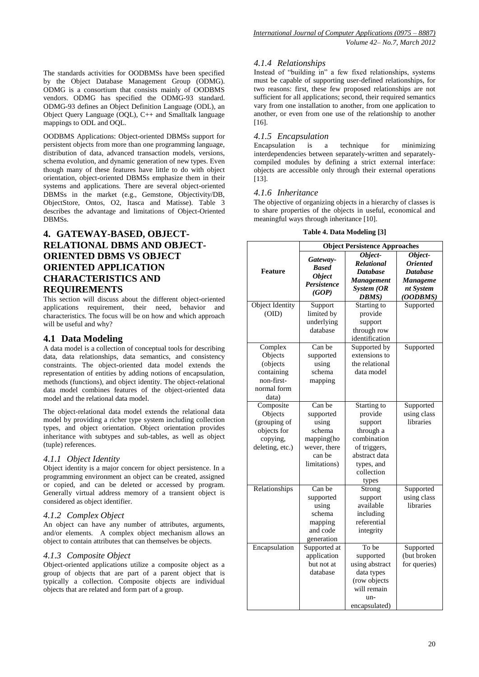OODBMS Applications: Object-oriented DBMSs support for persistent objects from more than one programming language, distribution of data, advanced transaction models, versions, schema evolution, and dynamic generation of new types. Even though many of these features have little to do with object orientation, object-oriented DBMSs emphasize them in their systems and applications. There are several object-oriented DBMSs in the market (e.g., Gemstone, Objectivity/DB, ObjectStore, Ontos, O2, Itasca and Matisse). Table 3 describes the advantage and limitations of Object-Oriented DBMSs.

# **4. GATEWAY-BASED, OBJECT-RELATIONAL DBMS AND OBJECT-ORIENTED DBMS VS OBJECT ORIENTED APPLICATION CHARACTERISTICS AND REQUIREMENTS**

This section will discuss about the different object-oriented applications requirement, their need, behavior and characteristics. The focus will be on how and which approach will be useful and why?

# **4.1 Data Modeling**

A data model is a collection of conceptual tools for describing data, data relationships, data semantics, and consistency constraints. The object-oriented data model extends the representation of entities by adding notions of encapsulation, methods (functions), and object identity. The object-relational data model combines features of the object-oriented data model and the relational data model.

The object-relational data model extends the relational data model by providing a richer type system including collection types, and object orientation. Object orientation provides inheritance with subtypes and sub-tables, as well as object (tuple) references.

#### *4.1.1 Object Identity*

Object identity is a major concern for object persistence. In a programming environment an object can be created, assigned or copied, and can be deleted or accessed by program. Generally virtual address memory of a transient object is considered as object identifier.

#### *4.1.2 Complex Object*

An object can have any number of attributes, arguments, and/or elements. A complex object mechanism allows an object to contain attributes that can themselves be objects.

#### *4.1.3 Composite Object*

Object-oriented applications utilize a composite object as a group of objects that are part of a parent object that is typically a collection. Composite objects are individual objects that are related and form part of a group.

## *4.1.4 Relationships*

Instead of "building in" a few fixed relationships, systems must be capable of supporting user-defined relationships, for two reasons: first, these few proposed relationships are not sufficient for all applications; second, their required semantics vary from one installation to another, from one application to another, or even from one use of the relationship to another [16].

#### *4.1.5 Encapsulation*

Encapsulation is a technique for minimizing interdependencies between separately-written and separatelycompiled modules by defining a strict external interface: objects are accessible only through their external operations [13].

#### *4.1.6 Inheritance*

The objective of organizing objects in a hierarchy of classes is to share properties of the objects in useful, economical and meaningful ways through inheritance [10].

| <b>Object Persistence Approaches</b> |                                                                                                                                                                                                                                                                                                                                                                 |                                                                                                                                                                                                                                                                                                                                                            |  |
|--------------------------------------|-----------------------------------------------------------------------------------------------------------------------------------------------------------------------------------------------------------------------------------------------------------------------------------------------------------------------------------------------------------------|------------------------------------------------------------------------------------------------------------------------------------------------------------------------------------------------------------------------------------------------------------------------------------------------------------------------------------------------------------|--|
|                                      | Object-                                                                                                                                                                                                                                                                                                                                                         | Object-                                                                                                                                                                                                                                                                                                                                                    |  |
|                                      | <b>Relational</b>                                                                                                                                                                                                                                                                                                                                               | <b>Oriented</b>                                                                                                                                                                                                                                                                                                                                            |  |
|                                      | <b>Database</b>                                                                                                                                                                                                                                                                                                                                                 | <b>Database</b>                                                                                                                                                                                                                                                                                                                                            |  |
|                                      | <b>Management</b>                                                                                                                                                                                                                                                                                                                                               | <b>Manageme</b>                                                                                                                                                                                                                                                                                                                                            |  |
|                                      | System (OR                                                                                                                                                                                                                                                                                                                                                      | nt System                                                                                                                                                                                                                                                                                                                                                  |  |
|                                      | DBMS)                                                                                                                                                                                                                                                                                                                                                           | (OODBMS)                                                                                                                                                                                                                                                                                                                                                   |  |
| Support                              | Starting to                                                                                                                                                                                                                                                                                                                                                     | Supported                                                                                                                                                                                                                                                                                                                                                  |  |
| limited by                           | provide                                                                                                                                                                                                                                                                                                                                                         |                                                                                                                                                                                                                                                                                                                                                            |  |
|                                      | support                                                                                                                                                                                                                                                                                                                                                         |                                                                                                                                                                                                                                                                                                                                                            |  |
| database                             | through row                                                                                                                                                                                                                                                                                                                                                     |                                                                                                                                                                                                                                                                                                                                                            |  |
|                                      |                                                                                                                                                                                                                                                                                                                                                                 |                                                                                                                                                                                                                                                                                                                                                            |  |
|                                      |                                                                                                                                                                                                                                                                                                                                                                 | Supported                                                                                                                                                                                                                                                                                                                                                  |  |
| supported                            | extensions to                                                                                                                                                                                                                                                                                                                                                   |                                                                                                                                                                                                                                                                                                                                                            |  |
| using                                | the relational                                                                                                                                                                                                                                                                                                                                                  |                                                                                                                                                                                                                                                                                                                                                            |  |
|                                      |                                                                                                                                                                                                                                                                                                                                                                 |                                                                                                                                                                                                                                                                                                                                                            |  |
|                                      |                                                                                                                                                                                                                                                                                                                                                                 |                                                                                                                                                                                                                                                                                                                                                            |  |
|                                      |                                                                                                                                                                                                                                                                                                                                                                 |                                                                                                                                                                                                                                                                                                                                                            |  |
|                                      |                                                                                                                                                                                                                                                                                                                                                                 |                                                                                                                                                                                                                                                                                                                                                            |  |
|                                      |                                                                                                                                                                                                                                                                                                                                                                 | Supported                                                                                                                                                                                                                                                                                                                                                  |  |
|                                      |                                                                                                                                                                                                                                                                                                                                                                 | using class                                                                                                                                                                                                                                                                                                                                                |  |
|                                      |                                                                                                                                                                                                                                                                                                                                                                 | libraries                                                                                                                                                                                                                                                                                                                                                  |  |
|                                      |                                                                                                                                                                                                                                                                                                                                                                 |                                                                                                                                                                                                                                                                                                                                                            |  |
|                                      |                                                                                                                                                                                                                                                                                                                                                                 |                                                                                                                                                                                                                                                                                                                                                            |  |
|                                      |                                                                                                                                                                                                                                                                                                                                                                 |                                                                                                                                                                                                                                                                                                                                                            |  |
|                                      |                                                                                                                                                                                                                                                                                                                                                                 |                                                                                                                                                                                                                                                                                                                                                            |  |
|                                      |                                                                                                                                                                                                                                                                                                                                                                 |                                                                                                                                                                                                                                                                                                                                                            |  |
|                                      |                                                                                                                                                                                                                                                                                                                                                                 |                                                                                                                                                                                                                                                                                                                                                            |  |
|                                      |                                                                                                                                                                                                                                                                                                                                                                 |                                                                                                                                                                                                                                                                                                                                                            |  |
|                                      |                                                                                                                                                                                                                                                                                                                                                                 | Supported                                                                                                                                                                                                                                                                                                                                                  |  |
|                                      |                                                                                                                                                                                                                                                                                                                                                                 | using class                                                                                                                                                                                                                                                                                                                                                |  |
|                                      |                                                                                                                                                                                                                                                                                                                                                                 | libraries                                                                                                                                                                                                                                                                                                                                                  |  |
|                                      |                                                                                                                                                                                                                                                                                                                                                                 |                                                                                                                                                                                                                                                                                                                                                            |  |
|                                      |                                                                                                                                                                                                                                                                                                                                                                 |                                                                                                                                                                                                                                                                                                                                                            |  |
|                                      |                                                                                                                                                                                                                                                                                                                                                                 |                                                                                                                                                                                                                                                                                                                                                            |  |
|                                      |                                                                                                                                                                                                                                                                                                                                                                 | Supported                                                                                                                                                                                                                                                                                                                                                  |  |
|                                      |                                                                                                                                                                                                                                                                                                                                                                 |                                                                                                                                                                                                                                                                                                                                                            |  |
|                                      |                                                                                                                                                                                                                                                                                                                                                                 | (but broken<br>for queries)                                                                                                                                                                                                                                                                                                                                |  |
|                                      |                                                                                                                                                                                                                                                                                                                                                                 |                                                                                                                                                                                                                                                                                                                                                            |  |
|                                      |                                                                                                                                                                                                                                                                                                                                                                 |                                                                                                                                                                                                                                                                                                                                                            |  |
|                                      |                                                                                                                                                                                                                                                                                                                                                                 |                                                                                                                                                                                                                                                                                                                                                            |  |
|                                      |                                                                                                                                                                                                                                                                                                                                                                 |                                                                                                                                                                                                                                                                                                                                                            |  |
|                                      | encapsulated)                                                                                                                                                                                                                                                                                                                                                   |                                                                                                                                                                                                                                                                                                                                                            |  |
|                                      | Gateway-<br><b>Based</b><br><b>Object</b><br><b>Persistence</b><br>(GOP)<br>underlying<br>Can be<br>schema<br>mapping<br>Can be<br>supported<br>using<br>schema<br>mapping(ho<br>wever, there<br>can be<br>limitations)<br>Can be<br>supported<br>using<br>schema<br>mapping<br>and code<br>generation<br>Supported at<br>application<br>but not at<br>database | identification<br>Supported by<br>data model<br>Starting to<br>provide<br>support<br>through a<br>combination<br>of triggers,<br>abstract data<br>types, and<br>collection<br>types<br>Strong<br>support<br>available<br>including<br>referential<br>integrity<br>To be<br>supported<br>using abstract<br>data types<br>(row objects<br>will remain<br>un- |  |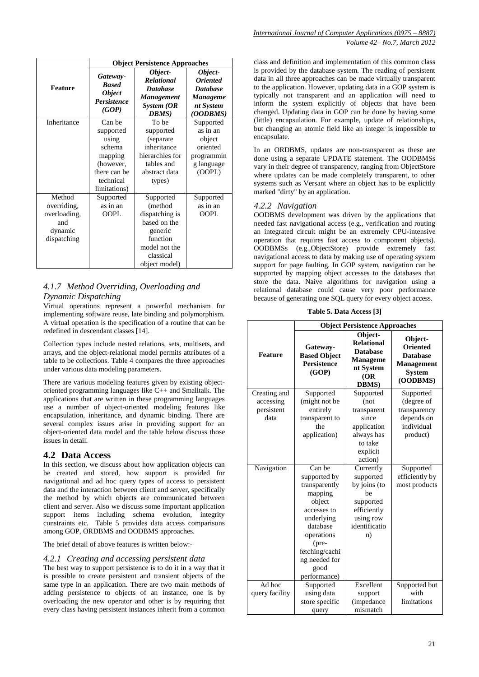|              | <b>Object Persistence Approaches</b>                                     |                                                                                             |                                                                                                  |  |
|--------------|--------------------------------------------------------------------------|---------------------------------------------------------------------------------------------|--------------------------------------------------------------------------------------------------|--|
| Feature      | Gateway-<br><b>Based</b><br><b>Object</b><br><b>Persistence</b><br>(GOP) | Object-<br><b>Relational</b><br><b>Database</b><br><b>Management</b><br>System (OR<br>DBMS) | Object-<br><i><b>Oriented</b></i><br><b>Database</b><br><b>Manageme</b><br>nt System<br>(OODBMS) |  |
| Inheritance  | Can be                                                                   | To be                                                                                       | Supported                                                                                        |  |
|              | supported                                                                | supported                                                                                   | as in an                                                                                         |  |
|              | using                                                                    | (separate                                                                                   | object                                                                                           |  |
|              | schema                                                                   | inheritance                                                                                 | oriented                                                                                         |  |
|              | mapping                                                                  | hierarchies for                                                                             | programmin                                                                                       |  |
|              | (however,                                                                | tables and                                                                                  | g language                                                                                       |  |
|              | there can be                                                             | abstract data                                                                               | (OOPL)                                                                                           |  |
|              | technical<br>limitations)                                                | types)                                                                                      |                                                                                                  |  |
| Method       | Supported                                                                | Supported                                                                                   | Supported                                                                                        |  |
| overriding,  | as in an                                                                 | (method                                                                                     | as in an                                                                                         |  |
| overloading, | <b>OOPL</b>                                                              | dispatching is                                                                              | <b>OOPL</b>                                                                                      |  |
| and          |                                                                          | based on the                                                                                |                                                                                                  |  |
| dynamic      |                                                                          | generic                                                                                     |                                                                                                  |  |
| dispatching  |                                                                          | function                                                                                    |                                                                                                  |  |
|              |                                                                          | model not the                                                                               |                                                                                                  |  |
|              |                                                                          | classical                                                                                   |                                                                                                  |  |
|              |                                                                          | object model)                                                                               |                                                                                                  |  |

# *4.1.7 Method Overriding, Overloading and Dynamic Dispatching*

Virtual operations represent a powerful mechanism for implementing software reuse, late binding and polymorphism. A virtual operation is the specification of a routine that can be redefined in descendant classes [14].

Collection types include nested relations, sets, multisets, and arrays, and the object-relational model permits attributes of a table to be collections. Table 4 compares the three approaches under various data modeling parameters.

There are various modeling features given by existing objectoriented programming languages like C++ and Smalltalk. The applications that are written in these programming languages use a number of object-oriented modeling features like encapsulation, inheritance, and dynamic binding. There are several complex issues arise in providing support for an object-oriented data model and the table below discuss those issues in detail.

#### **4.2 Data Access**

In this section, we discuss about how application objects can be created and stored, how support is provided for navigational and ad hoc query types of access to persistent data and the interaction between client and server, specifically the method by which objects are communicated between client and server. Also we discuss some important application support items including schema evolution, integrity constraints etc. Table 5 provides data access comparisons among GOP, ORDBMS and OODBMS approaches.

The brief detail of above features is written below:-

#### *4.2.1 Creating and accessing persistent data*

The best way to support persistence is to do it in a way that it is possible to create persistent and transient objects of the same type in an application. There are two main methods of adding persistence to objects of an instance, one is by overloading the new operator and other is by requiring that every class having persistent instances inherit from a common

class and definition and implementation of this common class is provided by the database system. The reading of persistent data in all three approaches can be made virtually transparent to the application. However, updating data in a GOP system is typically not transparent and an application will need to inform the system explicitly of objects that have been changed. Updating data in GOP can be done by having some (little) encapsulation. For example, update of relationships, but changing an atomic field like an integer is impossible to encapsulate.

In an ORDBMS, updates are non-transparent as these are done using a separate UPDATE statement. The OODBMSs vary in their degree of transparency, ranging from ObjectStore where updates can be made completely transparent, to other systems such as Versant where an object has to be explicitly marked "dirty" by an application.

#### *4.2.2 Navigation*

OODBMS development was driven by the applications that needed fast navigational access (e.g., verification and routing an integrated circuit might be an extremely CPU-intensive operation that requires fast access to component objects). OODBMSs (e.g.,ObjectStore) provide extremely fast navigational access to data by making use of operating system support for page faulting. In GOP system, navigation can be supported by mapping object accesses to the databases that store the data. Naive algorithms for navigation using a relational database could cause very poor performance because of generating one SQL query for every object access.

**Table 5. Data Access [3]**

|                | <b>Object Persistence Approaches</b>                           |                                                                                                          |                                                                                   |
|----------------|----------------------------------------------------------------|----------------------------------------------------------------------------------------------------------|-----------------------------------------------------------------------------------|
| <b>Feature</b> | Gateway-<br><b>Based Object</b><br><b>Persistence</b><br>(GOP) | Object-<br><b>Relational</b><br><b>Database</b><br><b>Manageme</b><br>nt System<br>(OR)<br><b>DBMS</b> ) | Object-<br><b>Oriented</b><br><b>Database</b><br>Management<br>System<br>(OODBMS) |
| Creating and   | Supported                                                      | Supported                                                                                                | Supported                                                                         |
| accessing      | (might not be                                                  | (not)                                                                                                    | (degree of                                                                        |
| persistent     | entirely                                                       | transparent                                                                                              | transparency                                                                      |
| data           | transparent to                                                 | since                                                                                                    | depends on                                                                        |
|                | the                                                            | application                                                                                              | individual                                                                        |
|                | application)                                                   | always has                                                                                               | product)                                                                          |
|                |                                                                | to take                                                                                                  |                                                                                   |
|                |                                                                | explicit                                                                                                 |                                                                                   |
|                |                                                                | action)                                                                                                  |                                                                                   |
| Navigation     | Can be                                                         | Currently                                                                                                | Supported                                                                         |
|                | supported by                                                   | supported                                                                                                | efficiently by                                                                    |
|                | transparently                                                  | by joins (to                                                                                             | most products                                                                     |
|                | mapping                                                        | he                                                                                                       |                                                                                   |
|                | object                                                         | supported                                                                                                |                                                                                   |
|                | accesses to                                                    | efficiently                                                                                              |                                                                                   |
|                | underlying                                                     | using row                                                                                                |                                                                                   |
|                | database                                                       | identificatio                                                                                            |                                                                                   |
|                | operations                                                     | n)                                                                                                       |                                                                                   |
|                | (pre-                                                          |                                                                                                          |                                                                                   |
|                | fetching/cachi                                                 |                                                                                                          |                                                                                   |
|                | ng needed for                                                  |                                                                                                          |                                                                                   |
|                | good<br>performance)                                           |                                                                                                          |                                                                                   |
| Ad hoc         | Supported                                                      | Excellent                                                                                                | Supported but                                                                     |
| query facility | using data                                                     | support                                                                                                  | with                                                                              |
|                | store specific                                                 | (impedance                                                                                               | limitations                                                                       |
|                | query                                                          | mismatch                                                                                                 |                                                                                   |
|                |                                                                |                                                                                                          |                                                                                   |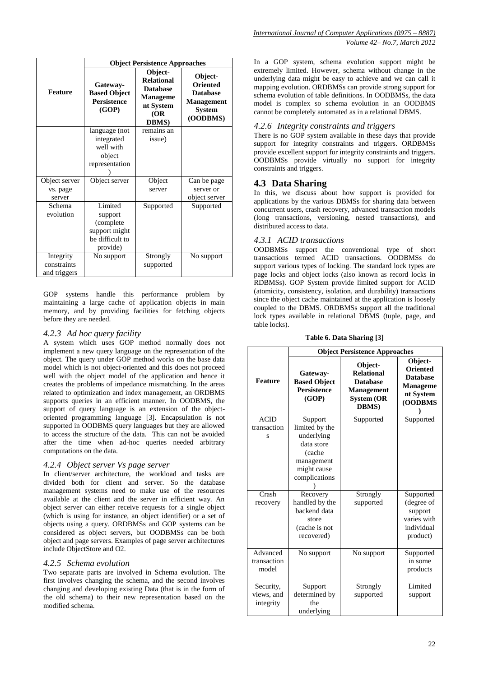|                                          | <b>Object Persistence Approaches</b>                                            |                                                                                                          |                                                                                                 |  |
|------------------------------------------|---------------------------------------------------------------------------------|----------------------------------------------------------------------------------------------------------|-------------------------------------------------------------------------------------------------|--|
| <b>Feature</b>                           | Gateway-<br><b>Based Object</b><br><b>Persistence</b><br>(GOP)                  | Object-<br><b>Relational</b><br><b>Database</b><br><b>Manageme</b><br>nt System<br>(OR)<br><b>DBMS</b> ) | Object-<br><b>Oriented</b><br><b>Database</b><br><b>Management</b><br><b>System</b><br>(OODBMS) |  |
|                                          | language (not                                                                   | remains an                                                                                               |                                                                                                 |  |
|                                          | integrated<br>well with<br>object                                               | issue)                                                                                                   |                                                                                                 |  |
|                                          | representation                                                                  |                                                                                                          |                                                                                                 |  |
| Object server                            | Object server                                                                   | Object                                                                                                   | Can be page                                                                                     |  |
| vs. page<br>server                       |                                                                                 | server                                                                                                   | server or<br>object server                                                                      |  |
| Schema<br>evolution                      | Limited<br>support<br>(complete<br>support might<br>be difficult to<br>provide) | Supported                                                                                                | Supported                                                                                       |  |
| Integrity<br>constraints<br>and triggers | No support                                                                      | Strongly<br>supported                                                                                    | No support                                                                                      |  |

GOP systems handle this performance problem by maintaining a large cache of application objects in main memory, and by providing facilities for fetching objects before they are needed.

#### *4.2.3 Ad hoc query facility*

A system which uses GOP method normally does not implement a new query language on the representation of the object. The query under GOP method works on the base data model which is not object-oriented and this does not proceed well with the object model of the application and hence it creates the problems of impedance mismatching. In the areas related to optimization and index management, an ORDBMS supports queries in an efficient manner. In OODBMS, the support of query language is an extension of the objectoriented programming language [3]. Encapsulation is not supported in OODBMS query languages but they are allowed to access the structure of the data. This can not be avoided after the time when ad-hoc queries needed arbitrary computations on the data.

#### *4.2.4 Object server Vs page server*

In client/server architecture, the workload and tasks are divided both for client and server. So the database management systems need to make use of the resources available at the client and the server in efficient way. An object server can either receive requests for a single object (which is using for instance, an object identifier) or a set of objects using a query. ORDBMSs and GOP systems can be considered as object servers, but OODBMSs can be both object and page servers. Examples of page server architectures include ObjectStore and O2.

#### *4.2.5 Schema evolution*

Two separate parts are involved in Schema evolution. The first involves changing the schema, and the second involves changing and developing existing Data (that is in the form of the old schema) to their new representation based on the modified schema.

In a GOP system, schema evolution support might be extremely limited. However, schema without change in the underlying data might be easy to achieve and we can call it mapping evolution. ORDBMSs can provide strong support for schema evolution of table definitions. In OODBMSs, the data model is complex so schema evolution in an OODBMS cannot be completely automated as in a relational DBMS.

#### *4.2.6 Integrity constraints and triggers*

There is no GOP system available in these days that provide support for integrity constraints and triggers. ORDBMSs provide excellent support for integrity constraints and triggers. OODBMSs provide virtually no support for integrity constraints and triggers.

#### **4.3 Data Sharing**

In this, we discuss about how support is provided for applications by the various DBMSs for sharing data between concurrent users, crash recovery, advanced transaction models (long transactions, versioning, nested transactions), and distributed access to data.

#### *4.3.1 ACID transactions*

OODBMSs support the conventional type of short transactions termed ACID transactions. OODBMSs do support various types of locking. The standard lock types are page locks and object locks (also known as record locks in RDBMSs). GOP System provide limited support for ACID (atomicity, consistency, isolation, and durability) transactions since the object cache maintained at the application is loosely coupled to the DBMS. ORDBMSs support all the traditional lock types available in relational DBMS (tuple, page, and table locks).

|                                      | <b>Object Persistence Approaches</b>                                                                          |                                                                                                            |                                                                                          |  |
|--------------------------------------|---------------------------------------------------------------------------------------------------------------|------------------------------------------------------------------------------------------------------------|------------------------------------------------------------------------------------------|--|
| <b>Feature</b>                       | Gateway-<br><b>Based Object</b><br><b>Persistence</b><br>(GOP)                                                | Object-<br><b>Relational</b><br><b>Database</b><br><b>Management</b><br><b>System (OR</b><br><b>DBMS</b> ) | Object-<br><b>Oriented</b><br><b>Database</b><br><b>Manageme</b><br>nt System<br>(OODBMS |  |
| <b>ACID</b><br>transaction<br>s      | Support<br>limited by the<br>underlying<br>data store<br>(cache<br>management<br>might cause<br>complications | Supported                                                                                                  | Supported                                                                                |  |
| Crash<br>recovery                    | Recovery<br>handled by the<br>backend data<br>store<br>(cache is not<br>recovered)                            | Strongly<br>supported                                                                                      | Supported<br>(degree of<br>support<br>varies with<br>individual<br>product)              |  |
| Advanced<br>transaction<br>model     | No support                                                                                                    | No support                                                                                                 | Supported<br>in some<br>products                                                         |  |
| Security,<br>views, and<br>integrity | Support<br>determined by<br>the<br>underlying                                                                 | Strongly<br>supported                                                                                      | Limited<br>support                                                                       |  |

**Table 6. Data Sharing [3]**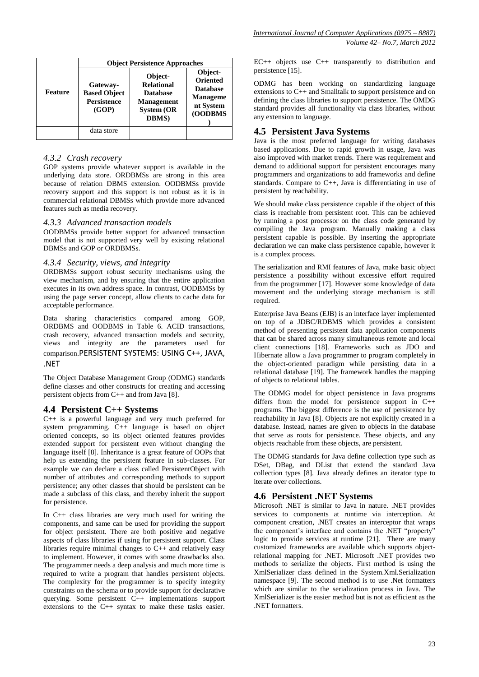|         | <b>Object Persistence Approaches</b>                           |                                                                                                            |                                                                                          |  |
|---------|----------------------------------------------------------------|------------------------------------------------------------------------------------------------------------|------------------------------------------------------------------------------------------|--|
| Feature | Gateway-<br><b>Based Object</b><br><b>Persistence</b><br>(GOP) | Object-<br><b>Relational</b><br><b>Database</b><br><b>Management</b><br><b>System (OR</b><br><b>DBMS</b> ) | Object-<br><b>Oriented</b><br><b>Database</b><br><b>Manageme</b><br>nt System<br>(OODBMS |  |
|         | data store                                                     |                                                                                                            |                                                                                          |  |

#### *4.3.2 Crash recovery*

GOP systems provide whatever support is available in the underlying data store. ORDBMSs are strong in this area because of relation DBMS extension. OODBMSs provide recovery support and this support is not robust as it is in commercial relational DBMSs which provide more advanced features such as media recovery.

#### *4.3.3 Advanced transaction models*

OODBMSs provide better support for advanced transaction model that is not supported very well by existing relational DBMSs and GOP or ORDBMSs.

#### *4.3.4 Security, views, and integrity*

ORDBMSs support robust security mechanisms using the view mechanism, and by ensuring that the entire application executes in its own address space. In contrast, OODBMSs by using the page server concept, allow clients to cache data for acceptable performance.

Data sharing characteristics compared among GOP, ORDBMS and OODBMS in Table 6. ACID transactions, crash recovery, advanced transaction models and security, views and integrity are the parameters used for comparison.PERSISTENT SYSTEMS: USING C++, JAVA, .NET

The Object Database Management Group (ODMG) standards define classes and other constructs for creating and accessing persistent objects from C++ and from Java [8].

#### **4.4 Persistent C++ Systems**

C++ is a powerful language and very much preferred for system programming. C++ language is based on object oriented concepts, so its object oriented features provides extended support for persistent even without changing the language itself [8]. Inheritance is a great feature of OOPs that help us extending the persistent feature in sub-classes. For example we can declare a class called PersistentObject with number of attributes and corresponding methods to support persistence; any other classes that should be persistent can be made a subclass of this class, and thereby inherit the support for persistence.

In C++ class libraries are very much used for writing the components, and same can be used for providing the support for object persistent. There are both positive and negative aspects of class libraries if using for persistent support. Class libraries require minimal changes to C++ and relatively easy to implement. However, it comes with some drawbacks also. The programmer needs a deep analysis and much more time is required to write a program that handles persistent objects. The complexity for the programmer is to specify integrity constraints on the schema or to provide support for declarative querying. Some persistent C++ implementations support extensions to the C++ syntax to make these tasks easier.

EC++ objects use C++ transparently to distribution and persistence [15].

ODMG has been working on standardizing language extensions to C++ and Smalltalk to support persistence and on defining the class libraries to support persistence. The OMDG standard provides all functionality via class libraries, without any extension to language.

# **4.5 Persistent Java Systems**

Java is the most preferred language for writing databases based applications. Due to rapid growth in usage, Java was also improved with market trends. There was requirement and demand to additional support for persistent encourages many programmers and organizations to add frameworks and define standards. Compare to C++, Java is differentiating in use of persistent by reachability.

We should make class persistence capable if the object of this class is reachable from persistent root. This can be achieved by running a post processor on the class code generated by compiling the Java program. Manually making a class persistent capable is possible. By inserting the appropriate declaration we can make class persistence capable, however it is a complex process.

The serialization and RMI features of Java, make basic object persistence a possibility without excessive effort required from the programmer [17]. However some knowledge of data movement and the underlying storage mechanism is still required.

Enterprise Java Beans (EJB) is an interface layer implemented on top of a JDBC/RDBMS which provides a consistent method of presenting persistent data application components that can be shared across many simultaneous remote and local client connections [18]. Frameworks such as JDO and Hibernate allow a Java programmer to program completely in the object-oriented paradigm while persisting data in a relational database [19]. The framework handles the mapping of objects to relational tables.

The ODMG model for object persistence in Java programs differs from the model for persistence support in C++ programs. The biggest difference is the use of persistence by reachability in Java [8]. Objects are not explicitly created in a database. Instead, names are given to objects in the database that serve as roots for persistence. These objects, and any objects reachable from these objects, are persistent.

The ODMG standards for Java define collection type such as DSet, DBag, and DList that extend the standard Java collection types [8]. Java already defines an iterator type to iterate over collections.

# **4.6 Persistent .NET Systems**

Microsoft .NET is similar to Java in nature. .NET provides services to components at runtime via interception. At component creation, .NET creates an interceptor that wraps the component's interface and contains the .NET "property" logic to provide services at runtime [21]. There are many customized frameworks are available which supports objectrelational mapping for .NET. Microsoft .NET provides two methods to serialize the objects. First method is using the XmlSerializer class defined in the System.Xml.Serialization namespace [9]. The second method is to use .Net formatters which are similar to the serialization process in Java. The XmlSerializer is the easier method but is not as efficient as the .NET formatters.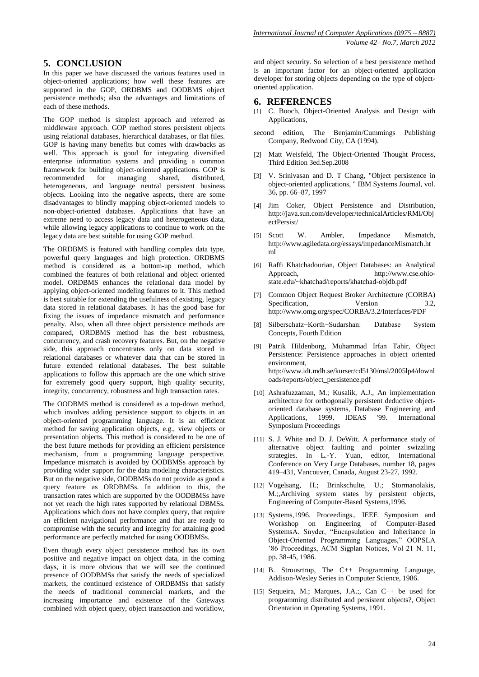# **5. CONCLUSION**

In this paper we have discussed the various features used in object-oriented applications; how well these features are supported in the GOP, ORDBMS and OODBMS object persistence methods; also the advantages and limitations of each of these methods.

The GOP method is simplest approach and referred as middleware approach. GOP method stores persistent objects using relational databases, hierarchical databases, or flat files. GOP is having many benefits but comes with drawbacks as well. This approach is good for integrating diversified enterprise information systems and providing a common framework for building object-oriented applications. GOP is recommended for managing shared, distributed, heterogeneous, and language neutral persistent business objects. Looking into the negative aspects, there are some disadvantages to blindly mapping object-oriented models to non-object-oriented databases. Applications that have an extreme need to access legacy data and heterogeneous data, while allowing legacy applications to continue to work on the legacy data are best suitable for using GOP method.

The ORDBMS is featured with handling complex data type, powerful query languages and high protection. ORDBMS method is considered as a bottom-up method, which combined the features of both relational and object oriented model. ORDBMS enhances the relational data model by applying object-oriented modeling features to it. This method is best suitable for extending the usefulness of existing, legacy data stored in relational databases. It has the good base for fixing the issues of impedance mismatch and performance penalty. Also, when all three object persistence methods are compared, ORDBMS method has the best robustness, concurrency, and crash recovery features. But, on the negative side, this approach concentrates only on data stored in relational databases or whatever data that can be stored in future extended relational databases. The best suitable applications to follow this approach are the one which strive for extremely good query support, high quality security, integrity, concurrency, robustness and high transaction rates.

The OODBMS method is considered as a top-down method, which involves adding persistence support to objects in an object-oriented programming language. It is an efficient method for saving application objects, e.g., view objects or presentation objects. This method is considered to be one of the best future methods for providing an efficient persistence mechanism, from a programming language perspective. Impedance mismatch is avoided by OODBMSs approach by providing wider support for the data modeling characteristics. But on the negative side, OODBMSs do not provide as good a query feature as ORDBMSs. In addition to this, the transaction rates which are supported by the OODBMSs have not yet reach the high rates supported by relational DBMSs. Applications which does not have complex query, that require an efficient navigational performance and that are ready to compromise with the security and integrity for attaining good performance are perfectly matched for using OODBMSs.

Even though every object persistence method has its own positive and negative impact on object data, in the coming days, it is more obvious that we will see the continued presence of OODBMSs that satisfy the needs of specialized markets, the continued existence of ORDBMSs that satisfy the needs of traditional commercial markets, and the increasing importance and existence of the Gateways combined with object query, object transaction and workflow,

and object security. So selection of a best persistence method is an important factor for an object-oriented application developer for storing objects depending on the type of objectoriented application.

## **6. REFERENCES**

- [1] C. Booch, Object-Oriented Analysis and Design with Applications,
- second edition, The Benjamin/Cummings Publishing Company, Redwood City, CA (1994).
- [2] Matt Weisfeld, The Object-Oriented Thought Process, Third Edition 3ed.Sep.2008
- [3] V. Srinivasan and D. T Chang, "Object persistence in object-oriented applications, " IBM Systems Journal, vol. 36, pp. 66–87, 1997
- [4] Jim Coker, Object Persistence and Distribution, http://java.sun.com/developer/technicalArticles/RMI/Obj ectPersist/
- [5] Scott W. Ambler, Impedance Mismatch, http://www.agiledata.org/essays/impedanceMismatch.ht ml
- [6] Raffi Khatchadourian, Object Databases: an Analytical http://www.cse.ohiostate.edu/~khatchad/reports/khatchad-objdb.pdf
- [7] Common Object Request Broker Architecture (CORBA) Specification, Version 3.2, http://www.omg.org/spec/CORBA/3.2/Interfaces/PDF
- [8] Silberschatz−Korth−Sudarshan: Database System Concepts, Fourth Edition
- [9] Patrik Hildenborg, Muhammad Irfan Tahir, Object Persistence: Persistence approaches in object oriented environment, http://www.idt.mdh.se/kurser/cd5130/msl/2005lp4/downl oads/reports/object\_persistence.pdf
- [10] Ashrafuzzaman, M.; Kusalik, A.J., An implementation architecture for orthogonally persistent deductive objectoriented database systems, Database Engineering and Applications, 1999. IDEAS '99. International Applications, 1999. IDEAS '99. International Symposium Proceedings
- [11] S. J. White and D. J. DeWitt. A performance study of alternative object faulting and pointer swizzling strategies. In L.-Y. Yuan, editor, International Conference on Very Large Databases, number 18, pages 419–431, Vancouver, Canada, August 23-27, 1992.
- [12] Vogelsang, H.; Brinkschulte, U.; Stormanolakis, M.;,Archiving system states by persistent objects, Engineering of Computer-Based Systems,1996.
- [13] Systems,1996. Proceedings., IEEE Symposium and Workshop on Engineering of Computer-Based SystemsA. Snyder, "Encapsulation and Inheritance in Object-Oriented Programming Languages," OOPSLA '86 Proceedings, ACM Sigplan Notices, Vol 21 N. 11, pp. 38-45, 1986.
- [14] B. Strousrtrup, The C++ Programming Language, Addison-Wesley Series in Computer Science, 1986.
- [15] Sequeira, M.; Marques, J.A.;, Can C++ be used for programming distributed and persistent objects?, Object Orientation in Operating Systems, 1991.